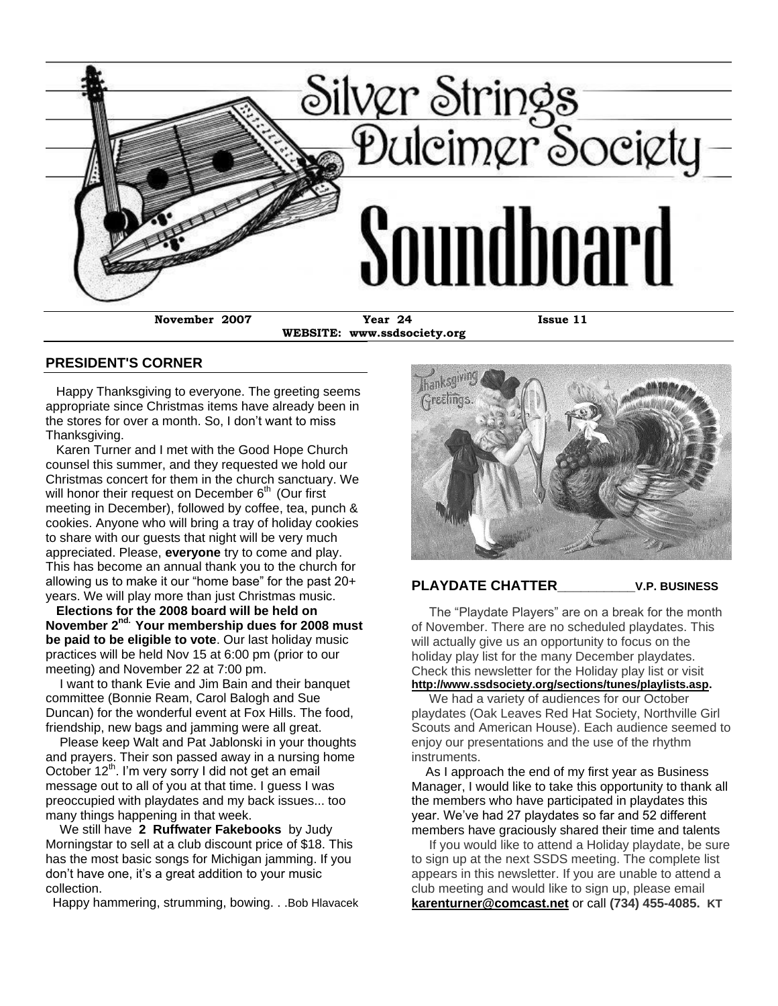

**WEBSITE: www.ssdsociety.org**

### **PRESIDENT'S CORNER**

 Happy Thanksgiving to everyone. The greeting seems appropriate since Christmas items have already been in the stores for over a month. So, I don't want to miss Thanksgiving.

 Karen Turner and I met with the Good Hope Church counsel this summer, and they requested we hold our Christmas concert for them in the church sanctuary. We will honor their request on December  $6<sup>th</sup>$  (Our first meeting in December), followed by coffee, tea, punch & cookies. Anyone who will bring a tray of holiday cookies to share with our guests that night will be very much appreciated. Please, **everyone** try to come and play. This has become an annual thank you to the church for allowing us to make it our "home base" for the past  $20+$ years. We will play more than just Christmas music.

 **Elections for the 2008 board will be held on November 2nd. Your membership dues for 2008 must be paid to be eligible to vote**. Our last holiday music practices will be held Nov 15 at 6:00 pm (prior to our meeting) and November 22 at 7:00 pm.

 I want to thank Evie and Jim Bain and their banquet committee (Bonnie Ream, Carol Balogh and Sue Duncan) for the wonderful event at Fox Hills. The food, friendship, new bags and jamming were all great.

 Please keep Walt and Pat Jablonski in your thoughts and prayers. Their son passed away in a nursing home October 12<sup>th</sup>. I'm very sorry I did not get an email message out to all of you at that time. I guess I was preoccupied with playdates and my back issues... too many things happening in that week.

 We still have **2 Ruffwater Fakebooks** by Judy Morningstar to sell at a club discount price of \$18. This has the most basic songs for Michigan jamming. If you don't have one, it's a great addition to your music collection.

Happy hammering, strumming, bowing. . .Bob Hlavacek



### **PLAYDATE CHATTER\_\_\_\_\_\_\_\_\_\_V.P. BUSINESS**

The "Playdate Players" are on a break for the month of November. There are no scheduled playdates. This will actually give us an opportunity to focus on the holiday play list for the many December playdates. Check this newsletter for the Holiday play list or visit **[http://www.ssdsociety.org/sections/tunes/playlists.asp.](http://www.ssdsociety.org/sections/tunes/playlists.asp)**

 We had a variety of audiences for our October playdates (Oak Leaves Red Hat Society, Northville Girl Scouts and American House). Each audience seemed to enjoy our presentations and the use of the rhythm instruments.

 As I approach the end of my first year as Business Manager, I would like to take this opportunity to thank all the members who have participated in playdates this year. We've had 27 playdates so far and 52 different members have graciously shared their time and talents

 If you would like to attend a Holiday playdate, be sure to sign up at the next SSDS meeting. The complete list appears in this newsletter. If you are unable to attend a club meeting and would like to sign up, please email **[karenturner@comcast.net](http://us.f810.mail.yahoo.com/ym/Compose?To=karenturner@comcast.net)** or call **(734) 455-4085. KT**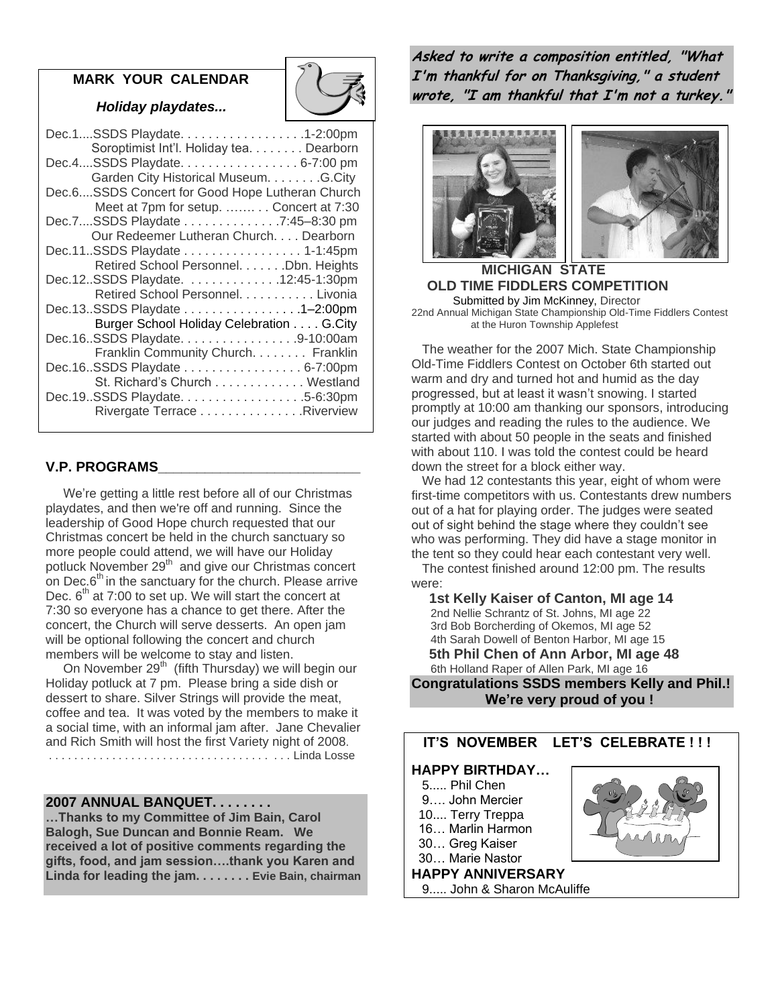### **MARK YOUR CALENDAR**

 *Holiday playdates...*

| Dec.1SSDS Playdate. 1-2:00pm<br>Soroptimist Int'l. Holiday tea. Dearborn                                           |  |
|--------------------------------------------------------------------------------------------------------------------|--|
| Dec.4SSDS Playdate. 6-7:00 pm<br>Garden City Historical Museum. G.City                                             |  |
| Dec.6SSDS Concert for Good Hope Lutheran Church<br>Meet at 7pm for setup.  Concert at 7:30                         |  |
| Dec.7SSDS Playdate 7:45-8:30 pm<br>Our Redeemer Lutheran Church. Dearborn                                          |  |
| Dec.11SSDS Playdate 1-1:45pm<br>Retired School Personnel. Dbn. Heights                                             |  |
| Dec.12SSDS Playdate. 12:45-1:30pm<br>Retired School Personnel. Livonia                                             |  |
| Dec.13SSDS Playdate 1-2:00pm                                                                                       |  |
| Burger School Holiday Celebration G. City<br>Dec.16SSDS Playdate. 9-10:00am<br>Franklin Community Church. Franklin |  |
| Dec.16. SSDS Playdate 6-7:00pm<br>St. Richard's Church Westland                                                    |  |
| Dec.19.SSDS Playdate. 5-6:30pm<br>Rivergate Terrace Riverview                                                      |  |
|                                                                                                                    |  |

## **V.P. PROGRAMS\_\_\_\_\_\_\_\_\_\_\_\_\_\_\_\_\_\_\_\_\_\_\_\_\_\_**

 We're getting a little rest before all of our Christmas playdates, and then we're off and running. Since the leadership of Good Hope church requested that our Christmas concert be held in the church sanctuary so more people could attend, we will have our Holiday potluck November 29<sup>th</sup> and give our Christmas concert on Dec. $6<sup>th</sup>$  in the sanctuary for the church. Please arrive Dec.  $6<sup>th</sup>$  at 7:00 to set up. We will start the concert at 7:30 so everyone has a chance to get there. After the concert, the Church will serve desserts. An open jam will be optional following the concert and church members will be welcome to stay and listen.

On November  $29<sup>th</sup>$  (fifth Thursday) we will begin our Holiday potluck at 7 pm. Please bring a side dish or dessert to share. Silver Strings will provide the meat, coffee and tea. It was voted by the members to make it a social time, with an informal jam after. Jane Chevalier and Rich Smith will host the first Variety night of 2008. . . . . . . . . . . . . . . . . . . . . . . . . . . . . . . . . . . . . . . Linda Losse

**2007 ANNUAL BANQUET. . . . . . . .** 

**…Thanks to my Committee of Jim Bain, Carol Balogh, Sue Duncan and Bonnie Ream. We received a lot of positive comments regarding the gifts, food, and jam session….thank you Karen and Linda for leading the jam. . . . . . . . Evie Bain, chairman** **Asked to write a composition entitled, "What I'm thankful for on Thanksgiving," a student wrote, "I am thankful that I'm not a turkey."**



### **MICHIGAN STATE OLD TIME FIDDLERS COMPETITION** Submitted by Jim McKinney, Director 22nd Annual Michigan State Championship Old-Time Fiddlers Contest at the Huron Township Applefest

 The weather for the 2007 Mich. State Championship Old-Time Fiddlers Contest on October 6th started out warm and dry and turned hot and humid as the day progressed, but at least it wasn't snowing. I started promptly at 10:00 am thanking our sponsors, introducing our judges and reading the rules to the audience. We started with about 50 people in the seats and finished with about 110. I was told the contest could be heard down the street for a block either way.

 We had 12 contestants this year, eight of whom were first-time competitors with us. Contestants drew numbers out of a hat for playing order. The judges were seated out of sight behind the stage where they couldn't see who was performing. They did have a stage monitor in the tent so they could hear each contestant very well.

 The contest finished around 12:00 pm. The results were:

 **1st Kelly Kaiser of Canton, MI age 14** 2nd Nellie Schrantz of St. Johns, MI age 22 3rd Bob Borcherding of Okemos, MI age 52 4th Sarah Dowell of Benton Harbor, MI age 15  **5th Phil Chen of Ann Arbor, MI age 48** 6th Holland Raper of Allen Park, MI age 16

**Congratulations SSDS members Kelly and Phil.! We're very proud of you !**

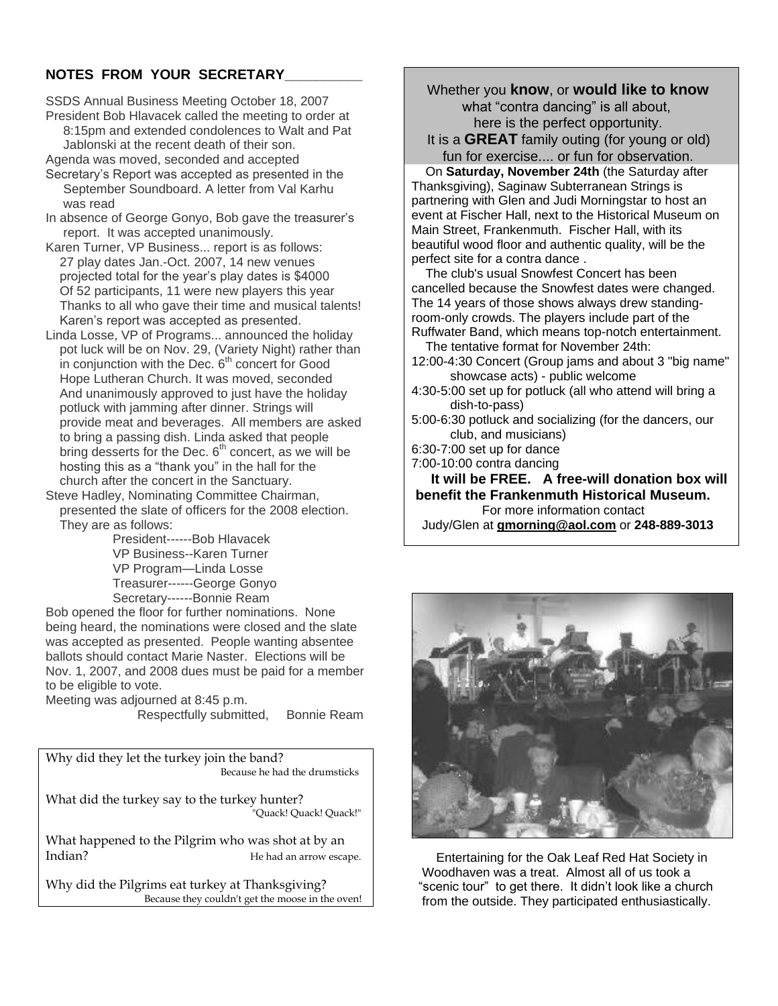# **NOTES FROM YOUR SECRETARY\_\_\_\_\_\_\_\_\_\_**

SSDS Annual Business Meeting October 18, 2007 President Bob Hlavacek called the meeting to order at

 8:15pm and extended condolences to Walt and Pat Jablonski at the recent death of their son.

- Agenda was moved, seconded and accepted Secretary's Report was accepted as presented in the September Soundboard. A letter from Val Karhu was read
- In absence of George Gonyo, Bob gave the treasurer's report. It was accepted unanimously.
- Karen Turner, VP Business... report is as follows: 27 play dates Jan.-Oct. 2007, 14 new venues projected total for the year's play dates is \$4000 Of 52 participants, 11 were new players this year Thanks to all who gave their time and musical talents! Karen's report was accepted as presented.
- Linda Losse, VP of Programs... announced the holiday pot luck will be on Nov. 29, (Variety Night) rather than in conjunction with the Dec.  $6<sup>th</sup>$  concert for Good Hope Lutheran Church. It was moved, seconded And unanimously approved to just have the holiday potluck with jamming after dinner. Strings will provide meat and beverages. All members are asked to bring a passing dish. Linda asked that people bring desserts for the Dec.  $6<sup>th</sup>$  concert, as we will be hosting this as a "thank you" in the hall for the church after the concert in the Sanctuary.
- Steve Hadley, Nominating Committee Chairman, presented the slate of officers for the 2008 election. They are as follows:

 President------Bob Hlavacek VP Business--Karen Turner VP Program—Linda Losse Treasurer------George Gonyo Secretary------Bonnie Ream

Bob opened the floor for further nominations. None being heard, the nominations were closed and the slate was accepted as presented. People wanting absentee ballots should contact Marie Naster. Elections will be Nov. 1, 2007, and 2008 dues must be paid for a member to be eligible to vote.

Meeting was adjourned at 8:45 p.m.

Respectfully submitted, Bonnie Ream

Why did they let the turkey join the band? Because he had the drumsticks

What did the turkey say to the turkey hunter? "Quack! Quack!"

What happened to the Pilgrim who was shot at by an Indian? He had an arrow escape.

Why did the Pilgrims eat turkey at Thanksgiving? Because they couldn't get the moose in the oven!  Whether you **know**, or **would like to know** what "contra dancing" is all about, here is the perfect opportunity. It is a **GREAT** family outing (for young or old)

fun for exercise.... or fun for observation.

 On **Saturday, November 24th** (the Saturday after Thanksgiving), Saginaw Subterranean Strings is partnering with Glen and Judi Morningstar to host an event at Fischer Hall, next to the Historical Museum on Main Street, Frankenmuth. Fischer Hall, with its beautiful wood floor and authentic quality, will be the perfect site for a contra dance .

 The club's usual Snowfest Concert has been cancelled because the Snowfest dates were changed. The 14 years of those shows always drew standingroom-only crowds. The players include part of the Ruffwater Band, which means top-notch entertainment.

 The tentative format for November 24th: 12:00-4:30 Concert (Group jams and about 3 "big name"

- showcase acts) public welcome
- 4:30-5:00 set up for potluck (all who attend will bring a dish-to-pass)

5:00-6:30 potluck and socializing (for the dancers, our club, and musicians)

- 6:30-7:00 set up for dance
- 7:00-10:00 contra dancing

 **It will be FREE. A free-will donation box will benefit the Frankenmuth Historical Museum.**  For more information contact Judy/Glen at **[gmorning@aol.com](/ym/Compose?To=gmorning@aol.com)** or **248-889-3013**



 Entertaining for the Oak Leaf Red Hat Society in Woodhaven was a treat. Almost all of us took a "scenic tour" to get there. It didn't look like a church from the outside. They participated enthusiastically.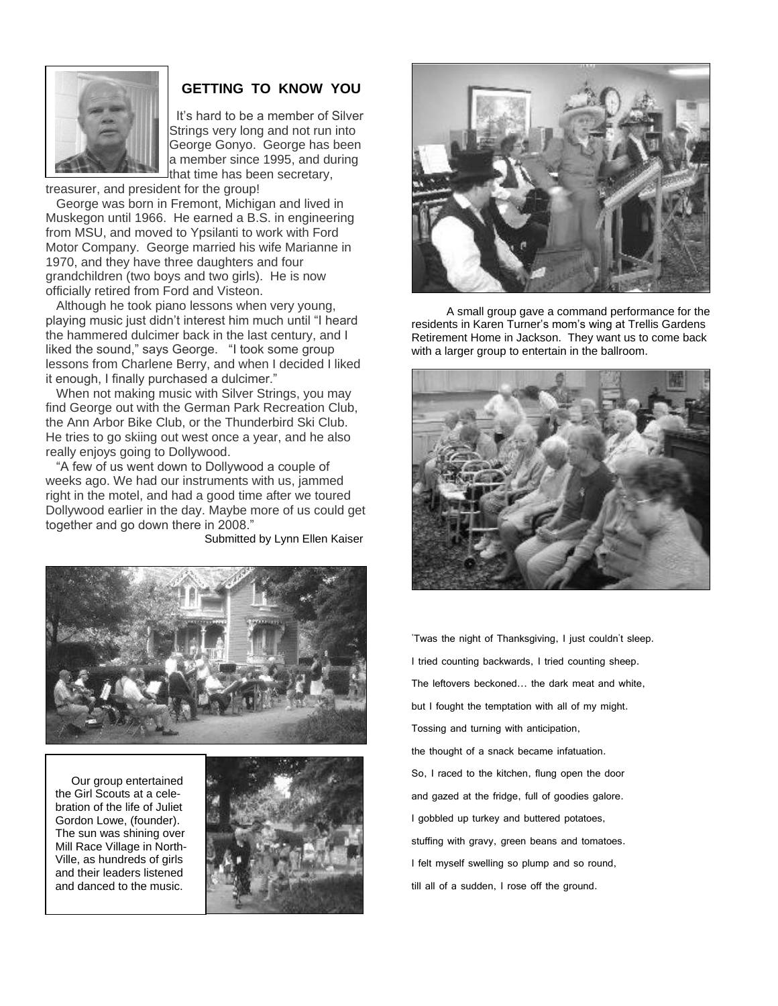

# **GETTING TO KNOW YOU**

 It's hard to be a member of Silver Strings very long and not run into George Gonyo. George has been a member since 1995, and during that time has been secretary,

treasurer, and president for the group!

 George was born in Fremont, Michigan and lived in Muskegon until 1966. He earned a B.S. in engineering from MSU, and moved to Ypsilanti to work with Ford Motor Company. George married his wife Marianne in 1970, and they have three daughters and four grandchildren (two boys and two girls). He is now officially retired from Ford and Visteon.

 Although he took piano lessons when very young, playing music just didn't interest him much until "I heard the hammered dulcimer back in the last century, and I liked the sound," says George. "I took some group lessons from Charlene Berry, and when I decided I liked it enough, I finally purchased a dulcimer."

 When not making music with Silver Strings, you may find George out with the German Park Recreation Club, the Ann Arbor Bike Club, or the Thunderbird Ski Club. He tries to go skiing out west once a year, and he also really enjoys going to Dollywood.

 ―A few of us went down to Dollywood a couple of weeks ago. We had our instruments with us, jammed right in the motel, and had a good time after we toured Dollywood earlier in the day. Maybe more of us could get together and go down there in 2008."

Submitted by Lynn Ellen Kaiser



 Our group entertained the Girl Scouts at a celebration of the life of Juliet Gordon Lowe, (founder). The sun was shining over Mill Race Village in North-Ville, as hundreds of girls and their leaders listened and danced to the music.

 $\overline{\phantom{a}}$ 





 A small group gave a command performance for the residents in Karen Turner's mom's wing at Trellis Gardens Retirement Home in Jackson. They want us to come back with a larger group to entertain in the ballroom.



'Twas the night of Thanksgiving, I just couldn't sleep. I tried counting backwards, I tried counting sheep. The leftovers beckoned... the dark meat and white, but I fought the temptation with all of my might. Tossing and turning with anticipation, the thought of a snack became infatuation. So, I raced to the kitchen, flung open the door and gazed at the fridge, full of goodies galore. I gobbled up turkey and buttered potatoes, stuffing with gravy, green beans and tomatoes. I felt myself swelling so plump and so round, till all of a sudden, I rose off the ground.